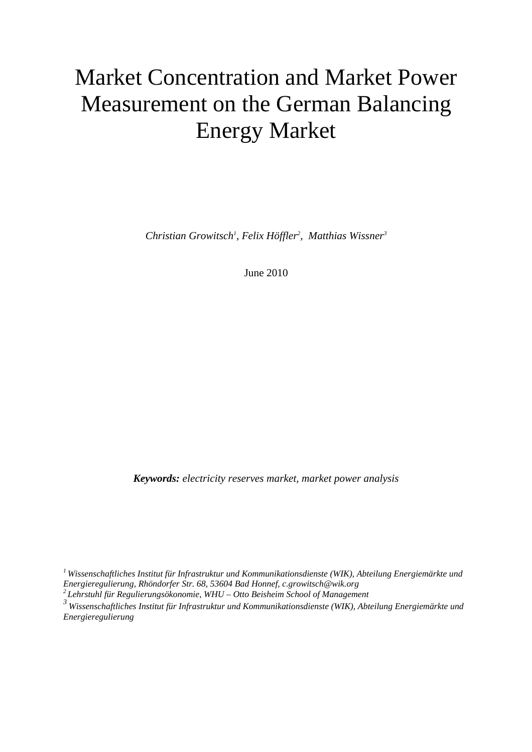## Market Concentration and Market Power Measurement on the German Balancing Energy Market

*Christian Growitsch1 , Felix Höffler2 , Matthias Wissner3*

June 2010

*Keywords: electricity reserves market, market power analysis* 

*1 Wissenschaftliches Institut für Infrastruktur und Kommunikationsdienste (WIK), Abteilung Energiemärkte und Energieregulierung, Rhöndorfer Str. 68, 53604 Bad Honnef, c.growitsch@wik.org* 

*2 Lehrstuhl für Regulierungsökonomie, WHU – Otto Beisheim School of Management* 

*3 Wissenschaftliches Institut für Infrastruktur und Kommunikationsdienste (WIK), Abteilung Energiemärkte und Energieregulierung*